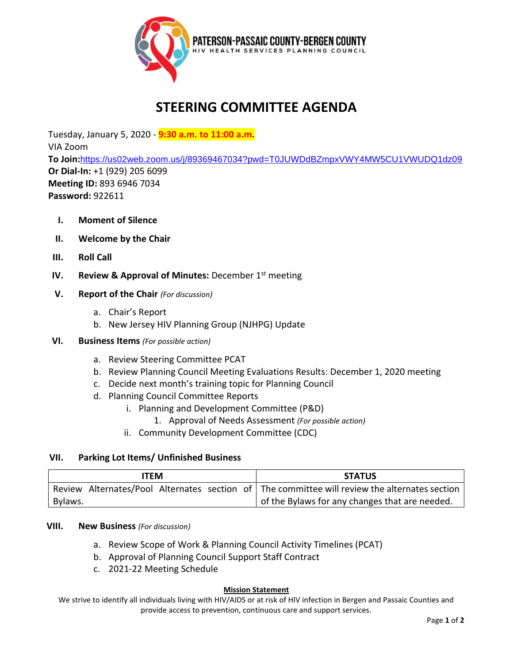

# **STEERING COMMITTEE AGENDA**

Tuesday, January 5, 2020 - **9:30 a.m. to 11:00 a.m.** VIA Zoom **To Join:**<https://us02web.zoom.us/j/89369467034?pwd=T0JUWDdBZmpxVWY4MW5CU1VWUDQ1dz09> **Or Dial-In:** +1 (929) 205 6099 **Meeting ID:** 893 6946 7034 **Password:** 922611

- **I. Moment of Silence**
- **II. Welcome by the Chair**
- **III. Roll Call**
- **IV. Review & Approval of Minutes:** December 1st meeting
- **V. Report of the Chair** *(For discussion)*
	- a. Chair's Report
	- b. New Jersey HIV Planning Group (NJHPG) Update
- **VI. Business Items** *(For possible action)*
	- a. Review Steering Committee PCAT
	- b. Review Planning Council Meeting Evaluations Results: December 1, 2020 meeting
	- c. Decide next month's training topic for Planning Council
	- d. Planning Council Committee Reports
		- i. Planning and Development Committee (P&D)
			- 1. Approval of Needs Assessment *(For possible action)*
		- ii. Community Development Committee (CDC)

### **VII. Parking Lot Items/ Unfinished Business**

| ITEM    | <b>STATUS</b>                                                                                 |
|---------|-----------------------------------------------------------------------------------------------|
|         | Review Alternates/Pool Alternates section of The committee will review the alternates section |
| Bylaws. | I of the Bylaws for any changes that are needed.                                              |

### **VIII. New Business** *(For discussion)*

- a. Review Scope of Work & Planning Council Activity Timelines (PCAT)
- b. Approval of Planning Council Support Staff Contract
- c. 2021-22 Meeting Schedule

#### **Mission Statement**

We strive to identify all individuals living with HIV/AIDS or at risk of HIV infection in Bergen and Passaic Counties and provide access to prevention, continuous care and support services.